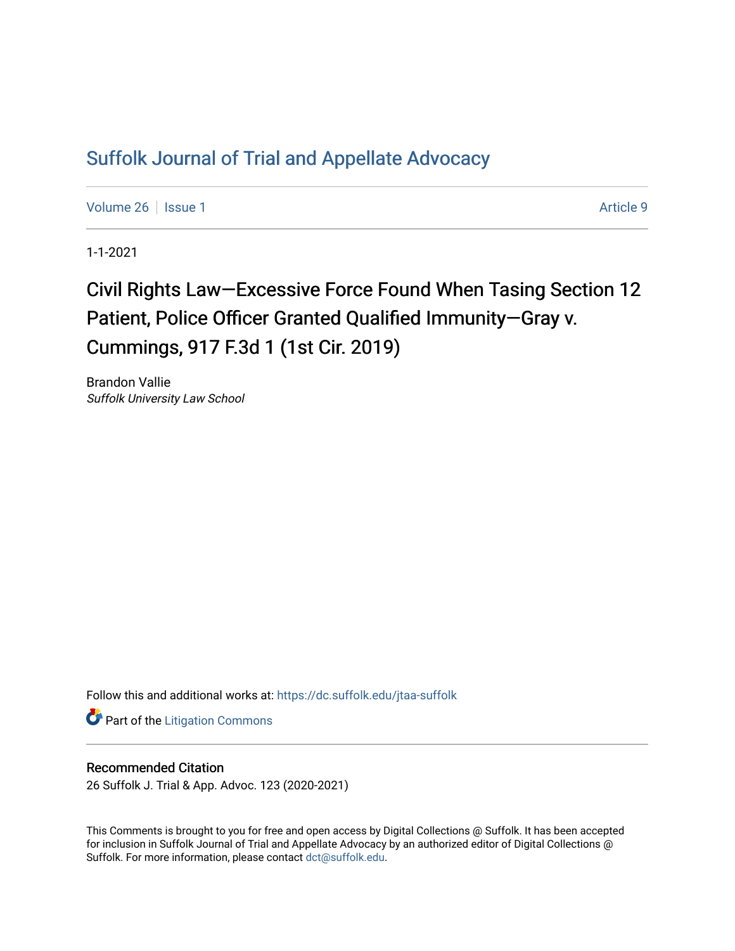# [Suffolk Journal of Trial and Appellate Advocacy](https://dc.suffolk.edu/jtaa-suffolk)

[Volume 26](https://dc.suffolk.edu/jtaa-suffolk/vol26) | [Issue 1](https://dc.suffolk.edu/jtaa-suffolk/vol26/iss1) Article 9

1-1-2021

# Civil Rights Law–Excessive Force Found When Tasing Section 12 Patient, Police Officer Granted Qualified Immunity-Gray v. Cummings, 917 F.3d 1 (1st Cir. 2019)

Brandon Vallie Suffolk University Law School

Follow this and additional works at: [https://dc.suffolk.edu/jtaa-suffolk](https://dc.suffolk.edu/jtaa-suffolk?utm_source=dc.suffolk.edu%2Fjtaa-suffolk%2Fvol26%2Fiss1%2F9&utm_medium=PDF&utm_campaign=PDFCoverPages) 

**Part of the [Litigation Commons](https://network.bepress.com/hgg/discipline/910?utm_source=dc.suffolk.edu%2Fjtaa-suffolk%2Fvol26%2Fiss1%2F9&utm_medium=PDF&utm_campaign=PDFCoverPages)** 

## Recommended Citation

26 Suffolk J. Trial & App. Advoc. 123 (2020-2021)

This Comments is brought to you for free and open access by Digital Collections @ Suffolk. It has been accepted for inclusion in Suffolk Journal of Trial and Appellate Advocacy by an authorized editor of Digital Collections @ Suffolk. For more information, please contact [dct@suffolk.edu.](mailto:dct@suffolk.edu)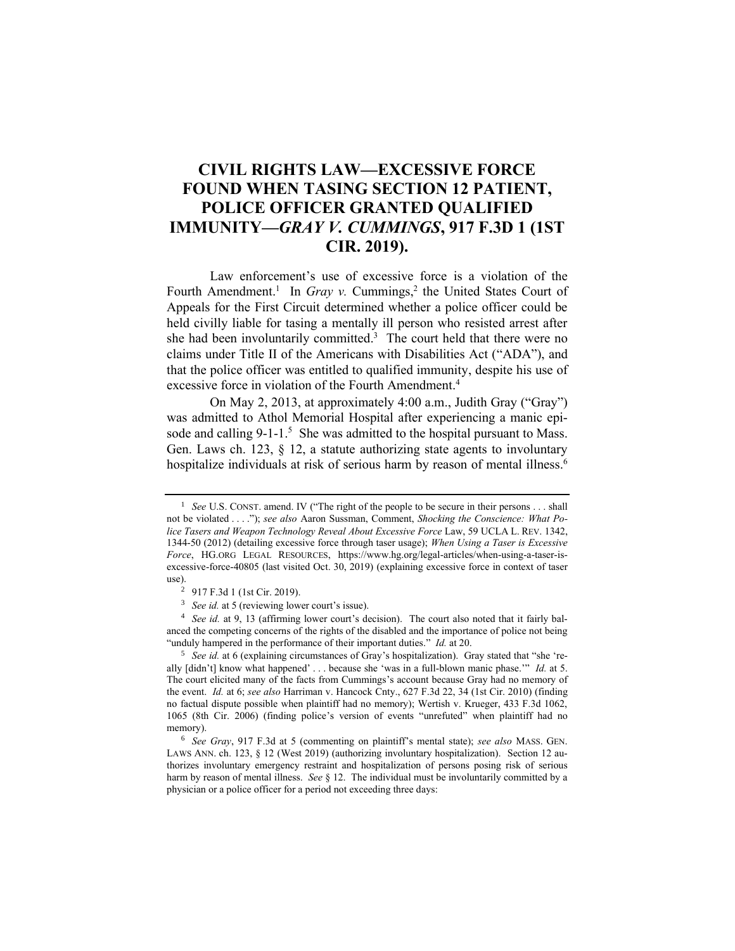# **CIVIL RIGHTS LAW—EXCESSIVE FORCE FOUND WHEN TASING SECTION 12 PATIENT, POLICE OFFICER GRANTED QUALIFIED IMMUNITY—***GRAY V. CUMMINGS***, 917 F.3D 1 (1ST CIR. 2019).**

Law enforcement's use of excessive force is a violation of the Fourth Amendment.<sup>1</sup> In *Gray v.* Cummings,<sup>2</sup> the United States Court of Appeals for the First Circuit determined whether a police officer could be held civilly liable for tasing a mentally ill person who resisted arrest after she had been involuntarily committed. 3 The court held that there were no claims under Title II of the Americans with Disabilities Act ("ADA"), and that the police officer was entitled to qualified immunity, despite his use of excessive force in violation of the Fourth Amendment.<sup>4</sup>

On May 2, 2013, at approximately 4:00 a.m., Judith Gray ("Gray") was admitted to Athol Memorial Hospital after experiencing a manic episode and calling  $9-1-1$ <sup>5</sup>. She was admitted to the hospital pursuant to Mass. Gen. Laws ch. 123, § 12, a statute authorizing state agents to involuntary hospitalize individuals at risk of serious harm by reason of mental illness.<sup>6</sup>

<sup>4</sup> *See id.* at 9, 13 (affirming lower court's decision). The court also noted that it fairly balanced the competing concerns of the rights of the disabled and the importance of police not being "unduly hampered in the performance of their important duties." *Id.* at 20.

<sup>5</sup> *See id.* at 6 (explaining circumstances of Gray's hospitalization). Gray stated that "she 'really [didn't] know what happened' . . . because she 'was in a full-blown manic phase.'" *Id.* at 5. The court elicited many of the facts from Cummings's account because Gray had no memory of the event. *Id.* at 6; *see also* Harriman v. Hancock Cnty., 627 F.3d 22, 34 (1st Cir. 2010) (finding no factual dispute possible when plaintiff had no memory); Wertish v. Krueger, 433 F.3d 1062, 1065 (8th Cir. 2006) (finding police's version of events "unrefuted" when plaintiff had no memory).

<sup>&</sup>lt;sup>1</sup> *See* U.S. CONST. amend. IV ("The right of the people to be secure in their persons . . . shall not be violated . . . ."); *see also* Aaron Sussman, Comment, *Shocking the Conscience: What Police Tasers and Weapon Technology Reveal About Excessive Force* Law, 59 UCLA L. REV. 1342, 1344-50 (2012) (detailing excessive force through taser usage); *When Using a Taser is Excessive Force*, HG.ORG LEGAL RESOURCES, https://www.hg.org/legal-articles/when-using-a-taser-isexcessive-force-40805 (last visited Oct. 30, 2019) (explaining excessive force in context of taser use).

<sup>2</sup> 917 F.3d 1 (1st Cir. 2019).

<sup>3</sup> *See id.* at 5 (reviewing lower court's issue).

<sup>6</sup> *See Gray*, 917 F.3d at 5 (commenting on plaintiff's mental state); *see also* MASS. GEN. LAWS ANN. ch. 123, § 12 (West 2019) (authorizing involuntary hospitalization). Section 12 authorizes involuntary emergency restraint and hospitalization of persons posing risk of serious harm by reason of mental illness. *See* § 12. The individual must be involuntarily committed by a physician or a police officer for a period not exceeding three days: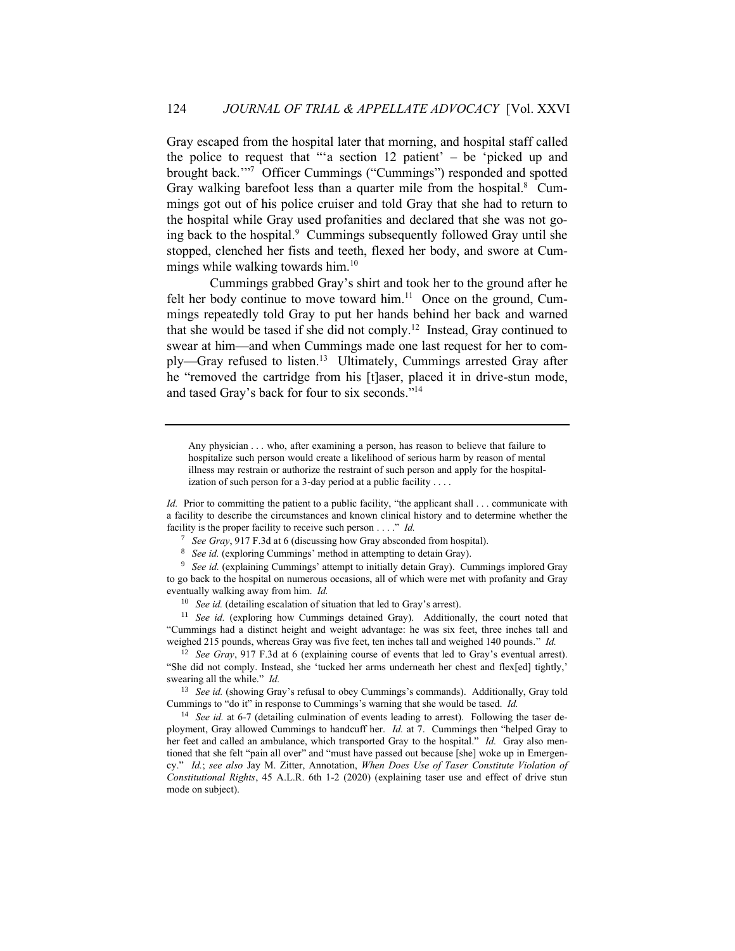Gray escaped from the hospital later that morning, and hospital staff called the police to request that "'a section  $12$  patient' – be 'picked up and brought back.'" 7 Officer Cummings ("Cummings") responded and spotted Gray walking barefoot less than a quarter mile from the hospital.<sup>8</sup> Cummings got out of his police cruiser and told Gray that she had to return to the hospital while Gray used profanities and declared that she was not going back to the hospital.<sup>9</sup> Cummings subsequently followed Gray until she stopped, clenched her fists and teeth, flexed her body, and swore at Cummings while walking towards him.<sup>10</sup>

Cummings grabbed Gray's shirt and took her to the ground after he felt her body continue to move toward him. $11$  Once on the ground, Cummings repeatedly told Gray to put her hands behind her back and warned that she would be tased if she did not comply.<sup>12</sup> Instead, Gray continued to swear at him—and when Cummings made one last request for her to comply—Gray refused to listen.<sup>13</sup> Ultimately, Cummings arrested Gray after he "removed the cartridge from his [t]aser, placed it in drive-stun mode, and tased Gray's back for four to six seconds." 14

Any physician . . . who, after examining a person, has reason to believe that failure to hospitalize such person would create a likelihood of serious harm by reason of mental illness may restrain or authorize the restraint of such person and apply for the hospitalization of such person for a 3-day period at a public facility . . . .

*Id.* Prior to committing the patient to a public facility, "the applicant shall . . . communicate with a facility to describe the circumstances and known clinical history and to determine whether the facility is the proper facility to receive such person . . . ." *Id.*

<sup>7</sup> *See Gray*, 917 F.3d at 6 (discussing how Gray absconded from hospital).

<sup>8</sup> *See id.* (exploring Cummings' method in attempting to detain Gray).

<sup>9</sup> *See id.* (explaining Cummings' attempt to initially detain Gray). Cummings implored Gray to go back to the hospital on numerous occasions, all of which were met with profanity and Gray eventually walking away from him. *Id.*

<sup>10</sup> *See id.* (detailing escalation of situation that led to Gray's arrest).

<sup>11</sup> *See id.* (exploring how Cummings detained Gray). Additionally, the court noted that "Cummings had a distinct height and weight advantage: he was six feet, three inches tall and weighed 215 pounds, whereas Gray was five feet, ten inches tall and weighed 140 pounds." *Id.*

<sup>12</sup> *See Gray*, 917 F.3d at 6 (explaining course of events that led to Gray's eventual arrest). "She did not comply. Instead, she 'tucked her arms underneath her chest and flex[ed] tightly,' swearing all the while." *Id.*

<sup>13</sup> *See id.* (showing Gray's refusal to obey Cummings's commands). Additionally, Gray told Cummings to "do it" in response to Cummings's warning that she would be tased. *Id.*

<sup>14</sup> *See id.* at 6-7 (detailing culmination of events leading to arrest). Following the taser deployment, Gray allowed Cummings to handcuff her. *Id.* at 7. Cummings then "helped Gray to her feet and called an ambulance, which transported Gray to the hospital." *Id.* Gray also mentioned that she felt "pain all over" and "must have passed out because [she] woke up in Emergency." *Id.*; *see also* Jay M. Zitter, Annotation, *When Does Use of Taser Constitute Violation of Constitutional Rights*, 45 A.L.R. 6th 1-2 (2020) (explaining taser use and effect of drive stun mode on subject).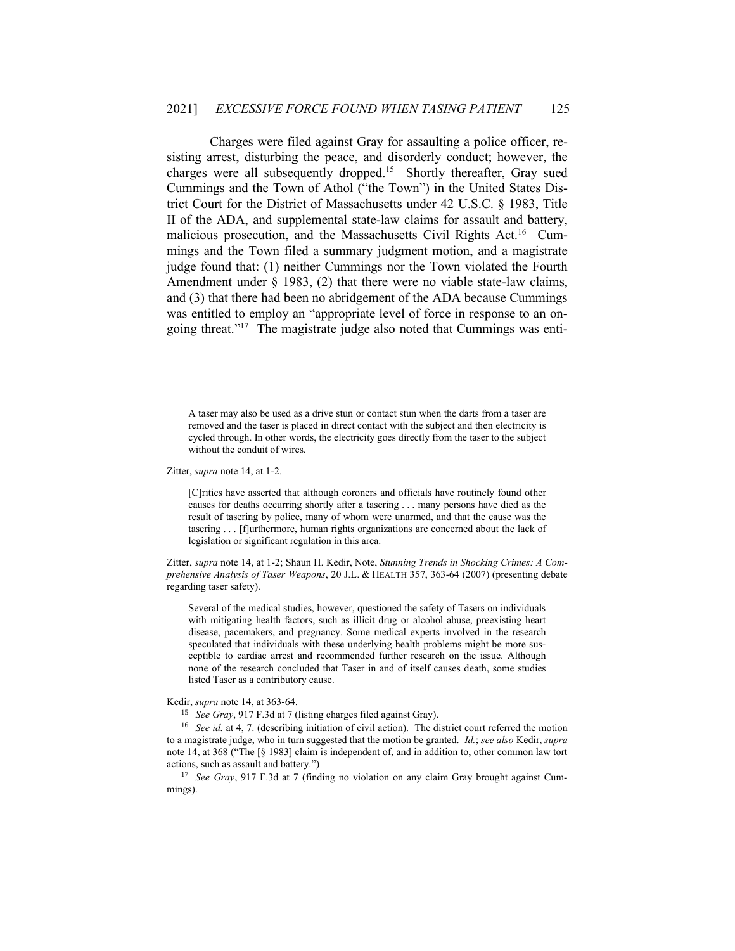Charges were filed against Gray for assaulting a police officer, resisting arrest, disturbing the peace, and disorderly conduct; however, the charges were all subsequently dropped.<sup>15</sup> Shortly thereafter, Gray sued Cummings and the Town of Athol ("the Town") in the United States District Court for the District of Massachusetts under 42 U.S.C. § 1983, Title II of the ADA, and supplemental state-law claims for assault and battery, malicious prosecution, and the Massachusetts Civil Rights Act.<sup>16</sup> Cummings and the Town filed a summary judgment motion, and a magistrate judge found that: (1) neither Cummings nor the Town violated the Fourth Amendment under § 1983, (2) that there were no viable state-law claims, and (3) that there had been no abridgement of the ADA because Cummings was entitled to employ an "appropriate level of force in response to an ongoing threat." 17 The magistrate judge also noted that Cummings was enti-

A taser may also be used as a drive stun or contact stun when the darts from a taser are removed and the taser is placed in direct contact with the subject and then electricity is cycled through. In other words, the electricity goes directly from the taser to the subject without the conduit of wires.

Zitter, *supra* note 14, at 1-2.

[C]ritics have asserted that although coroners and officials have routinely found other causes for deaths occurring shortly after a tasering . . . many persons have died as the result of tasering by police, many of whom were unarmed, and that the cause was the tasering . . . [f]urthermore, human rights organizations are concerned about the lack of legislation or significant regulation in this area.

Zitter, *supra* note 14, at 1-2; Shaun H. Kedir, Note, *Stunning Trends in Shocking Crimes: A Comprehensive Analysis of Taser Weapons*, 20 J.L. & HEALTH 357, 363-64 (2007) (presenting debate regarding taser safety).

Several of the medical studies, however, questioned the safety of Tasers on individuals with mitigating health factors, such as illicit drug or alcohol abuse, preexisting heart disease, pacemakers, and pregnancy. Some medical experts involved in the research speculated that individuals with these underlying health problems might be more susceptible to cardiac arrest and recommended further research on the issue. Although none of the research concluded that Taser in and of itself causes death, some studies listed Taser as a contributory cause.

Kedir, *supra* note 14, at 363-64.

<sup>15</sup> *See Gray*, 917 F.3d at 7 (listing charges filed against Gray).

<sup>&</sup>lt;sup>16</sup> *See id.* at 4, 7. (describing initiation of civil action). The district court referred the motion to a magistrate judge, who in turn suggested that the motion be granted. *Id.*; *see also* Kedir, *supra* note 14, at 368 ("The [§ 1983] claim is independent of, and in addition to, other common law tort actions, such as assault and battery.")

<sup>&</sup>lt;sup>17</sup> *See Gray*, 917 F.3d at 7 (finding no violation on any claim Gray brought against Cummings).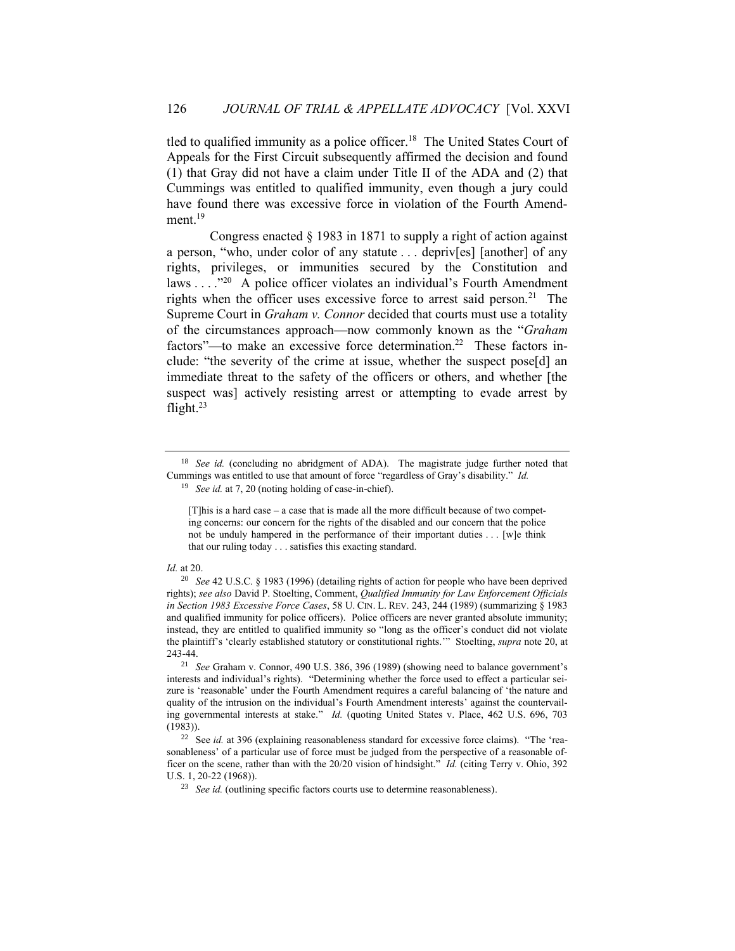tled to qualified immunity as a police officer.<sup>18</sup> The United States Court of Appeals for the First Circuit subsequently affirmed the decision and found (1) that Gray did not have a claim under Title II of the ADA and (2) that Cummings was entitled to qualified immunity, even though a jury could have found there was excessive force in violation of the Fourth Amendment.<sup>19</sup>

Congress enacted § 1983 in 1871 to supply a right of action against a person, "who, under color of any statute . . . depriv[es] [another] of any rights, privileges, or immunities secured by the Constitution and laws  $\ldots$ ."<sup>20</sup> A police officer violates an individual's Fourth Amendment rights when the officer uses excessive force to arrest said person.<sup>21</sup> The Supreme Court in *Graham v. Connor* decided that courts must use a totality of the circumstances approach—now commonly known as the "*Graham* factors"—to make an excessive force determination.<sup>22</sup> These factors include: "the severity of the crime at issue, whether the suspect pose[d] an immediate threat to the safety of the officers or others, and whether [the suspect was] actively resisting arrest or attempting to evade arrest by flight. $23$ 

<sup>19</sup> *See id.* at 7, 20 (noting holding of case-in-chief).

#### *Id.* at 20.

<sup>&</sup>lt;sup>18</sup> *See id.* (concluding no abridgment of ADA). The magistrate judge further noted that Cummings was entitled to use that amount of force "regardless of Gray's disability." *Id.*

<sup>[</sup>T]his is a hard case – a case that is made all the more difficult because of two competing concerns: our concern for the rights of the disabled and our concern that the police not be unduly hampered in the performance of their important duties . . . [w]e think that our ruling today . . . satisfies this exacting standard.

<sup>20</sup> *See* 42 U.S.C. § 1983 (1996) (detailing rights of action for people who have been deprived rights); *see also* David P. Stoelting, Comment, *Qualified Immunity for Law Enforcement Officials in Section 1983 Excessive Force Cases*, 58 U. CIN. L. REV. 243, 244 (1989) (summarizing § 1983 and qualified immunity for police officers). Police officers are never granted absolute immunity; instead, they are entitled to qualified immunity so "long as the officer's conduct did not violate the plaintiff's 'clearly established statutory or constitutional rights.'" Stoelting, *supra* note 20, at 243-44.

<sup>21</sup> *See* Graham v. Connor, 490 U.S. 386, 396 (1989) (showing need to balance government's interests and individual's rights). "Determining whether the force used to effect a particular seizure is 'reasonable' under the Fourth Amendment requires a careful balancing of 'the nature and quality of the intrusion on the individual's Fourth Amendment interests' against the countervailing governmental interests at stake." *Id.* (quoting United States v. Place, 462 U.S. 696, 703 (1983)).

<sup>&</sup>lt;sup>22</sup> See *id.* at 396 (explaining reasonableness standard for excessive force claims). "The 'reasonableness' of a particular use of force must be judged from the perspective of a reasonable officer on the scene, rather than with the 20/20 vision of hindsight." *Id.* (citing Terry v. Ohio, 392 U.S. 1, 20-22 (1968)).

<sup>&</sup>lt;sup>23</sup> *See id.* (outlining specific factors courts use to determine reasonableness).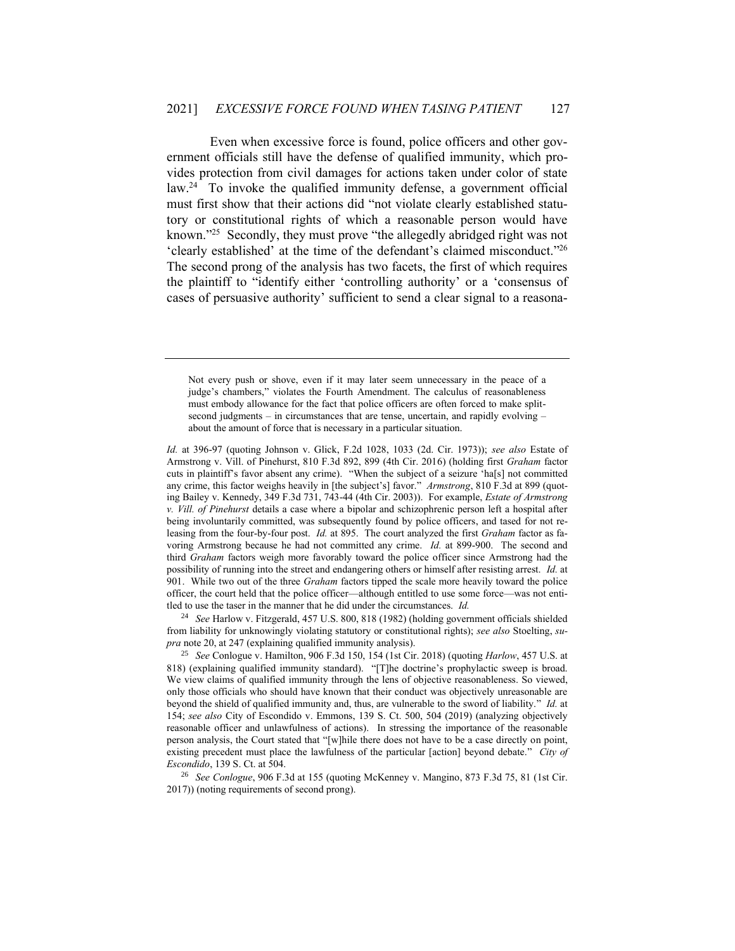Even when excessive force is found, police officers and other government officials still have the defense of qualified immunity, which provides protection from civil damages for actions taken under color of state law.<sup>24</sup> To invoke the qualified immunity defense, a government official must first show that their actions did "not violate clearly established statutory or constitutional rights of which a reasonable person would have known."<sup>25</sup> Secondly, they must prove "the allegedly abridged right was not 'clearly established' at the time of the defendant's claimed misconduct." 26 The second prong of the analysis has two facets, the first of which requires the plaintiff to "identify either 'controlling authority' or a 'consensus of cases of persuasive authority' sufficient to send a clear signal to a reasona-

Not every push or shove, even if it may later seem unnecessary in the peace of a judge's chambers," violates the Fourth Amendment. The calculus of reasonableness must embody allowance for the fact that police officers are often forced to make splitsecond judgments – in circumstances that are tense, uncertain, and rapidly evolving – about the amount of force that is necessary in a particular situation.

*Id.* at 396-97 (quoting Johnson v. Glick, F.2d 1028, 1033 (2d. Cir. 1973)); *see also* Estate of Armstrong v. Vill. of Pinehurst, 810 F.3d 892, 899 (4th Cir. 2016) (holding first *Graham* factor cuts in plaintiff's favor absent any crime). "When the subject of a seizure 'ha[s] not committed any crime, this factor weighs heavily in [the subject's] favor." *Armstrong*, 810 F.3d at 899 (quoting Bailey v. Kennedy, 349 F.3d 731, 743-44 (4th Cir. 2003)). For example, *Estate of Armstrong v. Vill. of Pinehurst* details a case where a bipolar and schizophrenic person left a hospital after being involuntarily committed, was subsequently found by police officers, and tased for not releasing from the four-by-four post. *Id.* at 895. The court analyzed the first *Graham* factor as favoring Armstrong because he had not committed any crime. *Id.* at 899-900. The second and third *Graham* factors weigh more favorably toward the police officer since Armstrong had the possibility of running into the street and endangering others or himself after resisting arrest. *Id.* at 901. While two out of the three *Graham* factors tipped the scale more heavily toward the police officer, the court held that the police officer—although entitled to use some force—was not entitled to use the taser in the manner that he did under the circumstances. *Id.*

<sup>24</sup> *See* Harlow v. Fitzgerald, 457 U.S. 800, 818 (1982) (holding government officials shielded from liability for unknowingly violating statutory or constitutional rights); *see also* Stoelting, *supra* note 20, at 247 (explaining qualified immunity analysis).

<sup>25</sup> *See* Conlogue v. Hamilton, 906 F.3d 150, 154 (1st Cir. 2018) (quoting *Harlow*, 457 U.S. at 818) (explaining qualified immunity standard). "[T]he doctrine's prophylactic sweep is broad. We view claims of qualified immunity through the lens of objective reasonableness. So viewed, only those officials who should have known that their conduct was objectively unreasonable are beyond the shield of qualified immunity and, thus, are vulnerable to the sword of liability." *Id.* at 154; *see also* City of Escondido v. Emmons, 139 S. Ct. 500, 504 (2019) (analyzing objectively reasonable officer and unlawfulness of actions). In stressing the importance of the reasonable person analysis, the Court stated that "[w]hile there does not have to be a case directly on point, existing precedent must place the lawfulness of the particular [action] beyond debate." *City of Escondido*, 139 S. Ct. at 504.

<sup>26</sup> *See Conlogue*, 906 F.3d at 155 (quoting McKenney v. Mangino, 873 F.3d 75, 81 (1st Cir. 2017)) (noting requirements of second prong).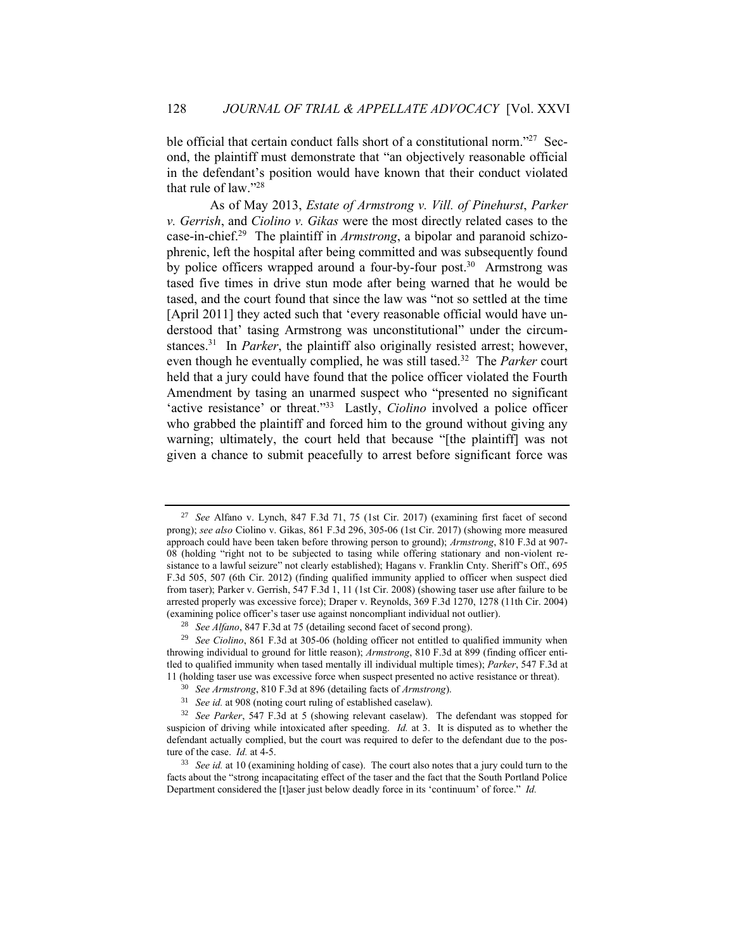ble official that certain conduct falls short of a constitutional norm."<sup>27</sup> Second, the plaintiff must demonstrate that "an objectively reasonable official in the defendant's position would have known that their conduct violated that rule of law." 28

As of May 2013, *Estate of Armstrong v. Vill. of Pinehurst*, *Parker v. Gerrish*, and *Ciolino v. Gikas* were the most directly related cases to the case-in-chief.<sup>29</sup> The plaintiff in *Armstrong*, a bipolar and paranoid schizophrenic, left the hospital after being committed and was subsequently found by police officers wrapped around a four-by-four post.<sup>30</sup> Armstrong was tased five times in drive stun mode after being warned that he would be tased, and the court found that since the law was "not so settled at the time [April 2011] they acted such that 'every reasonable official would have understood that' tasing Armstrong was unconstitutional" under the circumstances.<sup>31</sup> In *Parker*, the plaintiff also originally resisted arrest; however, even though he eventually complied, he was still tased.<sup>32</sup> The *Parker* court held that a jury could have found that the police officer violated the Fourth Amendment by tasing an unarmed suspect who "presented no significant 'active resistance' or threat."<sup>33</sup> Lastly, *Ciolino* involved a police officer who grabbed the plaintiff and forced him to the ground without giving any warning; ultimately, the court held that because "[the plaintiff] was not given a chance to submit peacefully to arrest before significant force was

<sup>27</sup> *See* Alfano v. Lynch, 847 F.3d 71, 75 (1st Cir. 2017) (examining first facet of second prong); *see also* Ciolino v. Gikas, 861 F.3d 296, 305-06 (1st Cir. 2017) (showing more measured approach could have been taken before throwing person to ground); *Armstrong*, 810 F.3d at 907- 08 (holding "right not to be subjected to tasing while offering stationary and non-violent resistance to a lawful seizure" not clearly established); Hagans v. Franklin Cnty. Sheriff's Off., 695 F.3d 505, 507 (6th Cir. 2012) (finding qualified immunity applied to officer when suspect died from taser); Parker v. Gerrish, 547 F.3d 1, 11 (1st Cir. 2008) (showing taser use after failure to be arrested properly was excessive force); Draper v. Reynolds, 369 F.3d 1270, 1278 (11th Cir. 2004) (examining police officer's taser use against noncompliant individual not outlier).

<sup>28</sup> *See Alfano*, 847 F.3d at 75 (detailing second facet of second prong).

<sup>29</sup> *See Ciolino*, 861 F.3d at 305-06 (holding officer not entitled to qualified immunity when throwing individual to ground for little reason); *Armstrong*, 810 F.3d at 899 (finding officer entitled to qualified immunity when tased mentally ill individual multiple times); *Parker*, 547 F.3d at 11 (holding taser use was excessive force when suspect presented no active resistance or threat).

<sup>30</sup> *See Armstrong*, 810 F.3d at 896 (detailing facts of *Armstrong*).

<sup>31</sup> *See id.* at 908 (noting court ruling of established caselaw).

<sup>32</sup> *See Parker*, 547 F.3d at 5 (showing relevant caselaw). The defendant was stopped for suspicion of driving while intoxicated after speeding. *Id.* at 3. It is disputed as to whether the defendant actually complied, but the court was required to defer to the defendant due to the posture of the case. *Id.* at 4-5.

<sup>33</sup> *See id.* at 10 (examining holding of case). The court also notes that a jury could turn to the facts about the "strong incapacitating effect of the taser and the fact that the South Portland Police Department considered the [t]aser just below deadly force in its 'continuum' of force." *Id.*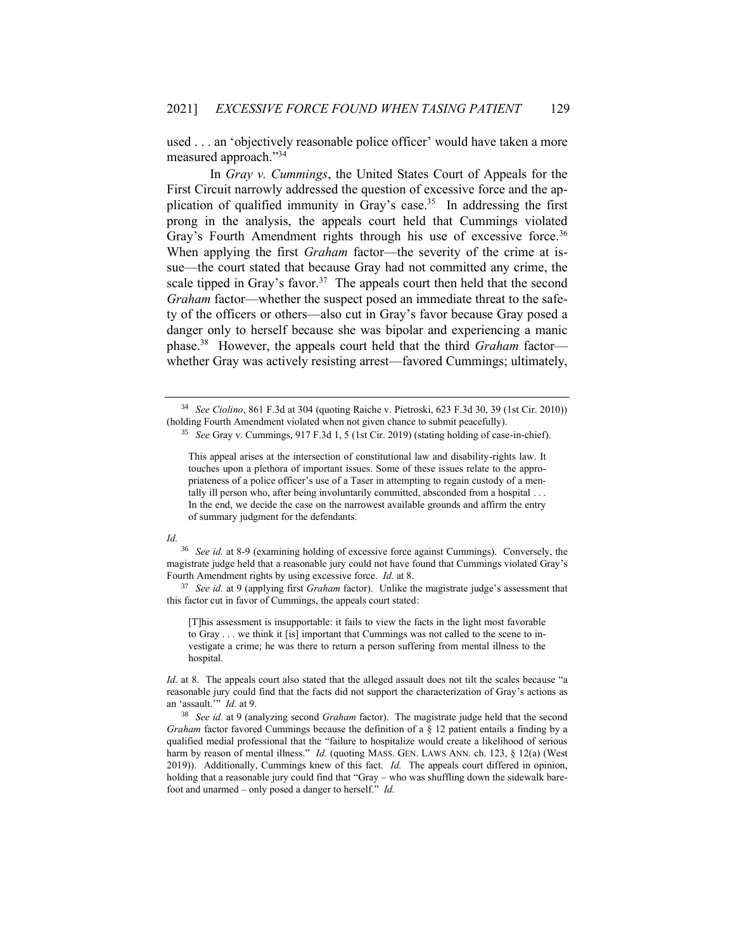used . . . an 'objectively reasonable police officer' would have taken a more measured approach." 34

In *Gray v. Cummings*, the United States Court of Appeals for the First Circuit narrowly addressed the question of excessive force and the application of qualified immunity in Gray's case.<sup>35</sup> In addressing the first prong in the analysis, the appeals court held that Cummings violated Gray's Fourth Amendment rights through his use of excessive force.<sup>36</sup> When applying the first *Graham* factor—the severity of the crime at issue—the court stated that because Gray had not committed any crime, the scale tipped in Gray's favor.<sup>37</sup> The appeals court then held that the second *Graham* factor—whether the suspect posed an immediate threat to the safety of the officers or others—also cut in Gray's favor because Gray posed a danger only to herself because she was bipolar and experiencing a manic phase. 38 However, the appeals court held that the third *Graham* factor whether Gray was actively resisting arrest—favored Cummings; ultimately,

#### *Id.*

<sup>36</sup> *See id.* at 8-9 (examining holding of excessive force against Cummings). Conversely, the magistrate judge held that a reasonable jury could not have found that Cummings violated Gray's Fourth Amendment rights by using excessive force. *Id.* at 8.

<sup>37</sup> *See id.* at 9 (applying first *Graham* factor). Unlike the magistrate judge's assessment that this factor cut in favor of Cummings, the appeals court stated:

[T]his assessment is insupportable: it fails to view the facts in the light most favorable to Gray . . . we think it [is] important that Cummings was not called to the scene to investigate a crime; he was there to return a person suffering from mental illness to the hospital.

*Id.* at 8. The appeals court also stated that the alleged assault does not tilt the scales because "a reasonable jury could find that the facts did not support the characterization of Gray's actions as an 'assault.'" *Id.* at 9.

<sup>38</sup> *See id.* at 9 (analyzing second *Graham* factor). The magistrate judge held that the second *Graham* factor favored Cummings because the definition of a § 12 patient entails a finding by a qualified medial professional that the "failure to hospitalize would create a likelihood of serious harm by reason of mental illness." *Id.* (quoting MASS. GEN. LAWS ANN. ch. 123, § 12(a) (West 2019)). Additionally, Cummings knew of this fact. *Id.* The appeals court differed in opinion, holding that a reasonable jury could find that "Gray – who was shuffling down the sidewalk barefoot and unarmed – only posed a danger to herself." *Id.*

<sup>34</sup> *See Ciolino*, 861 F.3d at 304 (quoting Raiche v. Pietroski, 623 F.3d 30, 39 (1st Cir. 2010)) (holding Fourth Amendment violated when not given chance to submit peacefully).

<sup>35</sup> *See* Gray v. Cummings, 917 F.3d 1, 5 (1st Cir. 2019) (stating holding of case-in-chief).

This appeal arises at the intersection of constitutional law and disability-rights law. It touches upon a plethora of important issues. Some of these issues relate to the appropriateness of a police officer's use of a Taser in attempting to regain custody of a mentally ill person who, after being involuntarily committed, absconded from a hospital ... In the end, we decide the case on the narrowest available grounds and affirm the entry of summary judgment for the defendants.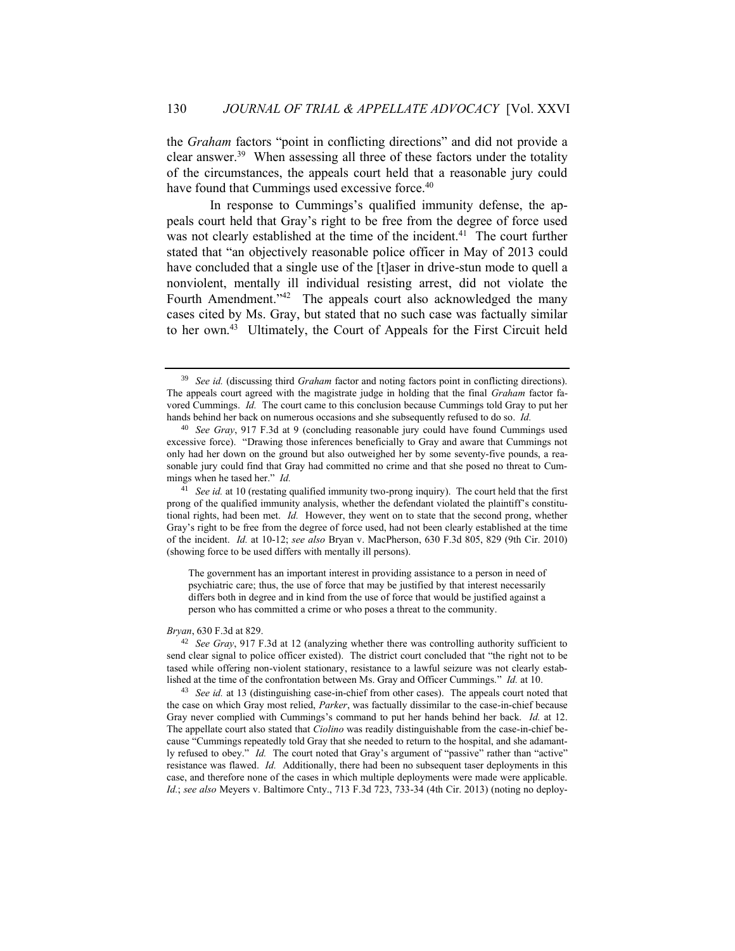the *Graham* factors "point in conflicting directions" and did not provide a clear answer.<sup>39</sup> When assessing all three of these factors under the totality of the circumstances, the appeals court held that a reasonable jury could have found that Cummings used excessive force.<sup>40</sup>

In response to Cummings's qualified immunity defense, the appeals court held that Gray's right to be free from the degree of force used was not clearly established at the time of the incident.<sup>41</sup> The court further stated that "an objectively reasonable police officer in May of 2013 could have concluded that a single use of the [t]aser in drive-stun mode to quell a nonviolent, mentally ill individual resisting arrest, did not violate the Fourth Amendment."<sup>42</sup> The appeals court also acknowledged the many cases cited by Ms. Gray, but stated that no such case was factually similar to her own.<sup>43</sup> Ultimately, the Court of Appeals for the First Circuit held

The government has an important interest in providing assistance to a person in need of psychiatric care; thus, the use of force that may be justified by that interest necessarily differs both in degree and in kind from the use of force that would be justified against a person who has committed a crime or who poses a threat to the community.

### *Bryan*, 630 F.3d at 829.

<sup>39</sup> *See id.* (discussing third *Graham* factor and noting factors point in conflicting directions). The appeals court agreed with the magistrate judge in holding that the final *Graham* factor favored Cummings. *Id.* The court came to this conclusion because Cummings told Gray to put her hands behind her back on numerous occasions and she subsequently refused to do so. *Id.*

<sup>40</sup> *See Gray*, 917 F.3d at 9 (concluding reasonable jury could have found Cummings used excessive force). "Drawing those inferences beneficially to Gray and aware that Cummings not only had her down on the ground but also outweighed her by some seventy-five pounds, a reasonable jury could find that Gray had committed no crime and that she posed no threat to Cummings when he tased her." *Id.*

<sup>&</sup>lt;sup>41</sup> *See id.* at 10 (restating qualified immunity two-prong inquiry). The court held that the first prong of the qualified immunity analysis, whether the defendant violated the plaintiff's constitutional rights, had been met. *Id.* However, they went on to state that the second prong, whether Gray's right to be free from the degree of force used, had not been clearly established at the time of the incident. *Id.* at 10-12; *see also* Bryan v. MacPherson, 630 F.3d 805, 829 (9th Cir. 2010) (showing force to be used differs with mentally ill persons).

<sup>42</sup> *See Gray*, 917 F.3d at 12 (analyzing whether there was controlling authority sufficient to send clear signal to police officer existed). The district court concluded that "the right not to be tased while offering non-violent stationary, resistance to a lawful seizure was not clearly established at the time of the confrontation between Ms. Gray and Officer Cummings." *Id.* at 10.

<sup>&</sup>lt;sup>43</sup> *See id.* at 13 (distinguishing case-in-chief from other cases). The appeals court noted that the case on which Gray most relied, *Parker*, was factually dissimilar to the case-in-chief because Gray never complied with Cummings's command to put her hands behind her back. *Id.* at 12. The appellate court also stated that *Ciolino* was readily distinguishable from the case-in-chief because "Cummings repeatedly told Gray that she needed to return to the hospital, and she adamantly refused to obey." *Id.* The court noted that Gray's argument of "passive" rather than "active" resistance was flawed. *Id.* Additionally, there had been no subsequent taser deployments in this case, and therefore none of the cases in which multiple deployments were made were applicable. *Id.*; *see also* Meyers v. Baltimore Cnty., 713 F.3d 723, 733-34 (4th Cir. 2013) (noting no deploy-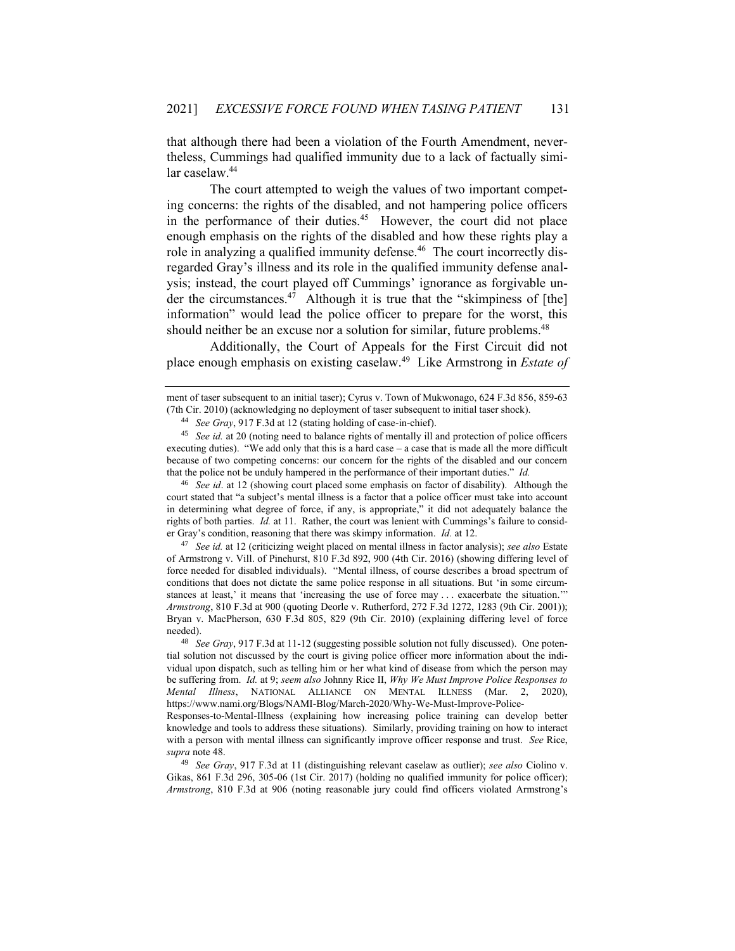that although there had been a violation of the Fourth Amendment, nevertheless, Cummings had qualified immunity due to a lack of factually similar caselaw.<sup>44</sup>

The court attempted to weigh the values of two important competing concerns: the rights of the disabled, and not hampering police officers in the performance of their duties.<sup>45</sup> However, the court did not place enough emphasis on the rights of the disabled and how these rights play a role in analyzing a qualified immunity defense.<sup>46</sup> The court incorrectly disregarded Gray's illness and its role in the qualified immunity defense analysis; instead, the court played off Cummings' ignorance as forgivable under the circumstances.<sup>47</sup> Although it is true that the "skimpiness of [the] information" would lead the police officer to prepare for the worst, this should neither be an excuse nor a solution for similar, future problems.<sup>48</sup>

Additionally, the Court of Appeals for the First Circuit did not place enough emphasis on existing caselaw. 49 Like Armstrong in *Estate of* 

<sup>46</sup> *See id*. at 12 (showing court placed some emphasis on factor of disability). Although the court stated that "a subject's mental illness is a factor that a police officer must take into account in determining what degree of force, if any, is appropriate," it did not adequately balance the rights of both parties. *Id.* at 11. Rather, the court was lenient with Cummings's failure to consider Gray's condition, reasoning that there was skimpy information. *Id.* at 12.

<sup>47</sup> *See id.* at 12 (criticizing weight placed on mental illness in factor analysis); *see also* Estate of Armstrong v. Vill. of Pinehurst, 810 F.3d 892, 900 (4th Cir. 2016) (showing differing level of force needed for disabled individuals). "Mental illness, of course describes a broad spectrum of conditions that does not dictate the same police response in all situations. But 'in some circumstances at least,' it means that 'increasing the use of force may . . . exacerbate the situation." *Armstrong*, 810 F.3d at 900 (quoting Deorle v. Rutherford, 272 F.3d 1272, 1283 (9th Cir. 2001)); Bryan v. MacPherson, 630 F.3d 805, 829 (9th Cir. 2010) (explaining differing level of force needed).

ment of taser subsequent to an initial taser); Cyrus v. Town of Mukwonago, 624 F.3d 856, 859-63 (7th Cir. 2010) (acknowledging no deployment of taser subsequent to initial taser shock).

<sup>44</sup> *See Gray*, 917 F.3d at 12 (stating holding of case-in-chief).

<sup>45</sup> *See id.* at 20 (noting need to balance rights of mentally ill and protection of police officers executing duties). "We add only that this is a hard case – a case that is made all the more difficult because of two competing concerns: our concern for the rights of the disabled and our concern that the police not be unduly hampered in the performance of their important duties." *Id.*

<sup>48</sup> *See Gray*, 917 F.3d at 11-12 (suggesting possible solution not fully discussed). One potential solution not discussed by the court is giving police officer more information about the individual upon dispatch, such as telling him or her what kind of disease from which the person may be suffering from. *Id.* at 9; *seem also* Johnny Rice II, *Why We Must Improve Police Responses to Mental Illness*, NATIONAL ALLIANCE ON MENTAL ILLNESS (Mar. 2, 2020), https://www.nami.org/Blogs/NAMI-Blog/March-2020/Why-We-Must-Improve-Police-

Responses-to-Mental-Illness (explaining how increasing police training can develop better knowledge and tools to address these situations). Similarly, providing training on how to interact with a person with mental illness can significantly improve officer response and trust. *See* Rice, *supra* note 48.

<sup>49</sup> *See Gray*, 917 F.3d at 11 (distinguishing relevant caselaw as outlier); *see also* Ciolino v. Gikas, 861 F.3d 296, 305-06 (1st Cir. 2017) (holding no qualified immunity for police officer); *Armstrong*, 810 F.3d at 906 (noting reasonable jury could find officers violated Armstrong's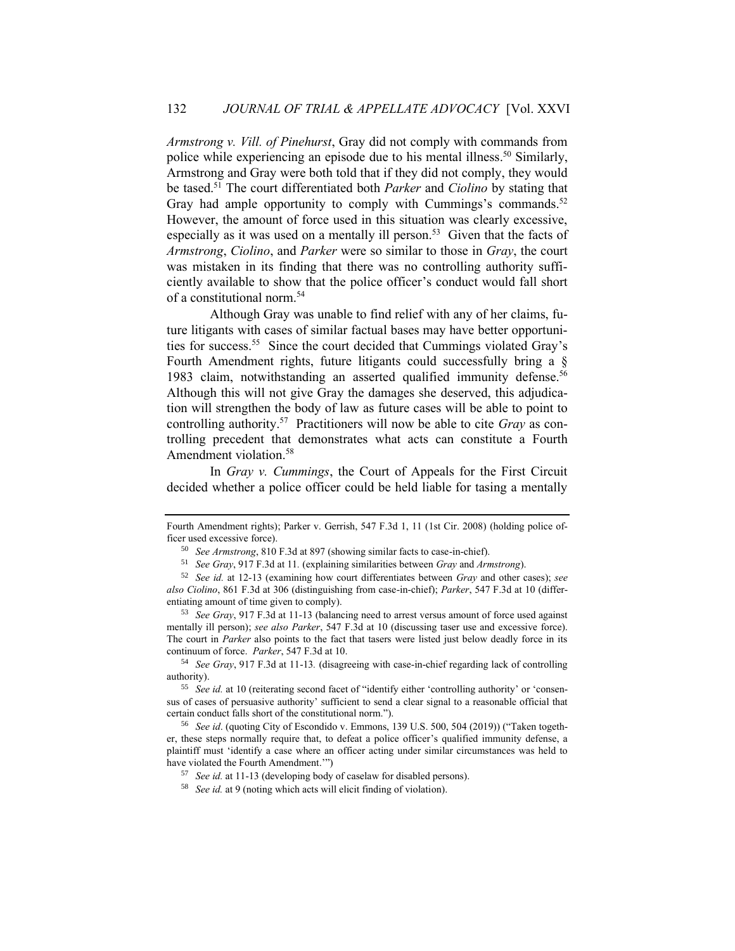*Armstrong v. Vill. of Pinehurst*, Gray did not comply with commands from police while experiencing an episode due to his mental illness.<sup>50</sup> Similarly, Armstrong and Gray were both told that if they did not comply, they would be tased.<sup>51</sup> The court differentiated both *Parker* and *Ciolino* by stating that Gray had ample opportunity to comply with Cummings's commands.<sup>52</sup> However, the amount of force used in this situation was clearly excessive, especially as it was used on a mentally ill person.<sup>53</sup> Given that the facts of *Armstrong*, *Ciolino*, and *Parker* were so similar to those in *Gray*, the court was mistaken in its finding that there was no controlling authority sufficiently available to show that the police officer's conduct would fall short of a constitutional norm.<sup>54</sup>

Although Gray was unable to find relief with any of her claims, future litigants with cases of similar factual bases may have better opportunities for success.<sup>55</sup> Since the court decided that Cummings violated Gray's Fourth Amendment rights, future litigants could successfully bring a § 1983 claim, notwithstanding an asserted qualified immunity defense.<sup>56</sup> Although this will not give Gray the damages she deserved, this adjudication will strengthen the body of law as future cases will be able to point to controlling authority.<sup>57</sup> Practitioners will now be able to cite *Gray* as controlling precedent that demonstrates what acts can constitute a Fourth Amendment violation.<sup>58</sup>

In *Gray v. Cummings*, the Court of Appeals for the First Circuit decided whether a police officer could be held liable for tasing a mentally

Fourth Amendment rights); Parker v. Gerrish, 547 F.3d 1, 11 (1st Cir. 2008) (holding police officer used excessive force).

<sup>50</sup> *See Armstrong*, 810 F.3d at 897 (showing similar facts to case-in-chief).

<sup>51</sup> *See Gray*, 917 F.3d at 11*.* (explaining similarities between *Gray* and *Armstrong*).

<sup>52</sup> *See id.* at 12-13 (examining how court differentiates between *Gray* and other cases); *see also Ciolino*, 861 F.3d at 306 (distinguishing from case-in-chief); *Parker*, 547 F.3d at 10 (differentiating amount of time given to comply).

<sup>53</sup> *See Gray*, 917 F.3d at 11-13 (balancing need to arrest versus amount of force used against mentally ill person); *see also Parker*, 547 F.3d at 10 (discussing taser use and excessive force). The court in *Parker* also points to the fact that tasers were listed just below deadly force in its continuum of force. *Parker*, 547 F.3d at 10.

<sup>54</sup> *See Gray*, 917 F.3d at 11-13*.* (disagreeing with case-in-chief regarding lack of controlling authority).

<sup>55</sup> *See id.* at 10 (reiterating second facet of "identify either 'controlling authority' or 'consensus of cases of persuasive authority' sufficient to send a clear signal to a reasonable official that certain conduct falls short of the constitutional norm.").

<sup>56</sup> *See id*. (quoting City of Escondido v. Emmons, 139 U.S. 500, 504 (2019)) ("Taken together, these steps normally require that, to defeat a police officer's qualified immunity defense, a plaintiff must 'identify a case where an officer acting under similar circumstances was held to have violated the Fourth Amendment.'")

<sup>57</sup> *See id.* at 11-13 (developing body of caselaw for disabled persons).

<sup>58</sup> *See id.* at 9 (noting which acts will elicit finding of violation).